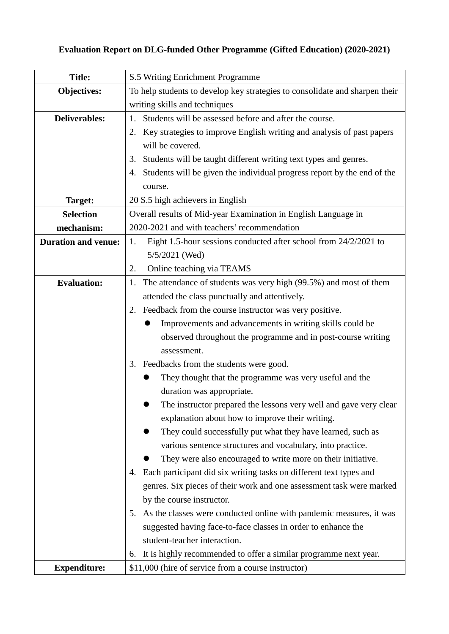# **Evaluation Report on DLG-funded Other Programme (Gifted Education) (2020-2021)**

| <b>Title:</b>              | S.5 Writing Enrichment Programme                                              |  |  |
|----------------------------|-------------------------------------------------------------------------------|--|--|
| Objectives:                | To help students to develop key strategies to consolidate and sharpen their   |  |  |
|                            | writing skills and techniques                                                 |  |  |
| <b>Deliverables:</b>       | Students will be assessed before and after the course.<br>1.                  |  |  |
|                            | 2. Key strategies to improve English writing and analysis of past papers      |  |  |
|                            | will be covered.                                                              |  |  |
|                            | Students will be taught different writing text types and genres.<br>3.        |  |  |
|                            | Students will be given the individual progress report by the end of the<br>4. |  |  |
|                            | course.                                                                       |  |  |
| Target:                    | 20 S.5 high achievers in English                                              |  |  |
| <b>Selection</b>           | Overall results of Mid-year Examination in English Language in                |  |  |
| mechanism:                 | 2020-2021 and with teachers' recommendation                                   |  |  |
| <b>Duration and venue:</b> | Eight 1.5-hour sessions conducted after school from 24/2/2021 to<br>1.        |  |  |
|                            | 5/5/2021 (Wed)                                                                |  |  |
|                            | Online teaching via TEAMS<br>2.                                               |  |  |
| <b>Evaluation:</b>         | The attendance of students was very high (99.5%) and most of them<br>1.       |  |  |
|                            | attended the class punctually and attentively.                                |  |  |
|                            | Feedback from the course instructor was very positive.<br>2.                  |  |  |
|                            | Improvements and advancements in writing skills could be                      |  |  |
|                            | observed throughout the programme and in post-course writing                  |  |  |
|                            | assessment.                                                                   |  |  |
|                            | Feedbacks from the students were good.<br>3.                                  |  |  |
|                            | They thought that the programme was very useful and the                       |  |  |
|                            | duration was appropriate.                                                     |  |  |
|                            | The instructor prepared the lessons very well and gave very clear             |  |  |
|                            | explanation about how to improve their writing.                               |  |  |
|                            | They could successfully put what they have learned, such as                   |  |  |
|                            | various sentence structures and vocabulary, into practice.                    |  |  |
|                            | They were also encouraged to write more on their initiative.                  |  |  |
|                            | Each participant did six writing tasks on different text types and<br>4.      |  |  |
|                            | genres. Six pieces of their work and one assessment task were marked          |  |  |
|                            | by the course instructor.                                                     |  |  |
|                            | As the classes were conducted online with pandemic measures, it was<br>5.     |  |  |
|                            | suggested having face-to-face classes in order to enhance the                 |  |  |
|                            | student-teacher interaction.                                                  |  |  |
|                            | It is highly recommended to offer a similar programme next year.<br>6.        |  |  |
| <b>Expenditure:</b>        | \$11,000 (hire of service from a course instructor)                           |  |  |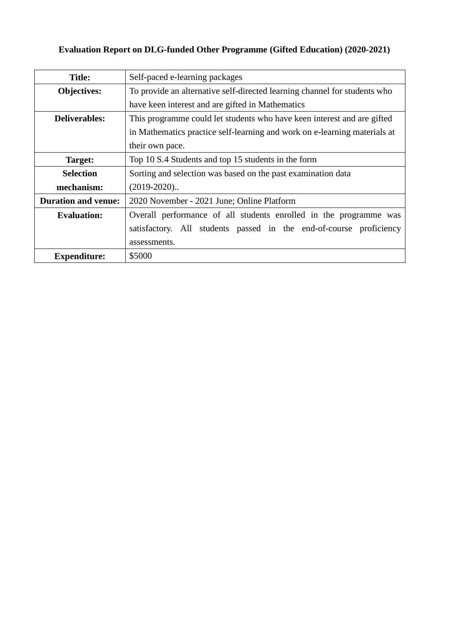# **Evaluation Report on DLG-funded Other Programme (Gifted Education) (2020-2021)**

| <b>Title:</b>              | Self-paced e-learning packages                                            |  |  |
|----------------------------|---------------------------------------------------------------------------|--|--|
| <b>Objectives:</b>         | To provide an alternative self-directed learning channel for students who |  |  |
|                            | have keen interest and are gifted in Mathematics                          |  |  |
| <b>Deliverables:</b>       | This programme could let students who have keen interest and are gifted   |  |  |
|                            | in Mathematics practice self-learning and work on e-learning materials at |  |  |
|                            | their own pace.                                                           |  |  |
| Target:                    | Top 10 S.4 Students and top 15 students in the form                       |  |  |
| <b>Selection</b>           | Sorting and selection was based on the past examination data              |  |  |
| mechanism:                 | $(2019-2020)$                                                             |  |  |
| <b>Duration and venue:</b> | 2020 November - 2021 June; Online Platform                                |  |  |
| <b>Evaluation:</b>         | Overall performance of all students enrolled in the programme was         |  |  |
|                            | satisfactory. All students passed in the end-of-course proficiency        |  |  |
|                            | assessments.                                                              |  |  |
| <b>Expenditure:</b>        | \$5000                                                                    |  |  |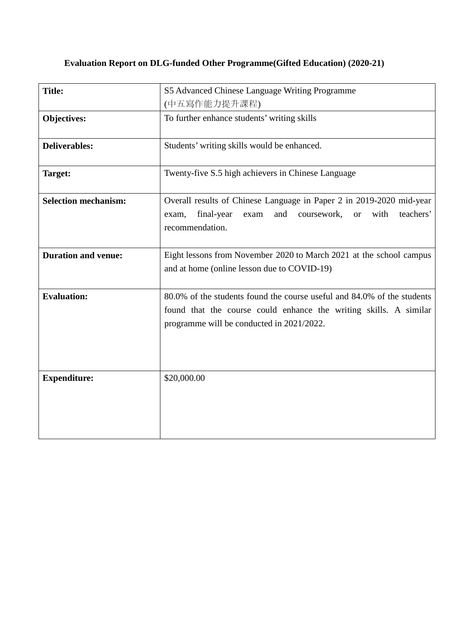#### **Evaluation Report on DLG-funded Other Programme(Gifted Education) (2020-21)**

| <b>Title:</b>               | S5 Advanced Chinese Language Writing Programme                                                                                                                                            |
|-----------------------------|-------------------------------------------------------------------------------------------------------------------------------------------------------------------------------------------|
|                             | (中五寫作能力提升課程)                                                                                                                                                                              |
| <b>Objectives:</b>          | To further enhance students' writing skills                                                                                                                                               |
| <b>Deliverables:</b>        | Students' writing skills would be enhanced.                                                                                                                                               |
| <b>Target:</b>              | Twenty-five S.5 high achievers in Chinese Language                                                                                                                                        |
| <b>Selection mechanism:</b> | Overall results of Chinese Language in Paper 2 in 2019-2020 mid-year<br>and<br>with<br>teachers'<br>final-year<br>coursework,<br>exam<br><b>or</b><br>exam,<br>recommendation.            |
| <b>Duration and venue:</b>  | Eight lessons from November 2020 to March 2021 at the school campus<br>and at home (online lesson due to COVID-19)                                                                        |
| <b>Evaluation:</b>          | 80.0% of the students found the course useful and 84.0% of the students<br>found that the course could enhance the writing skills. A similar<br>programme will be conducted in 2021/2022. |
| <b>Expenditure:</b>         | \$20,000.00                                                                                                                                                                               |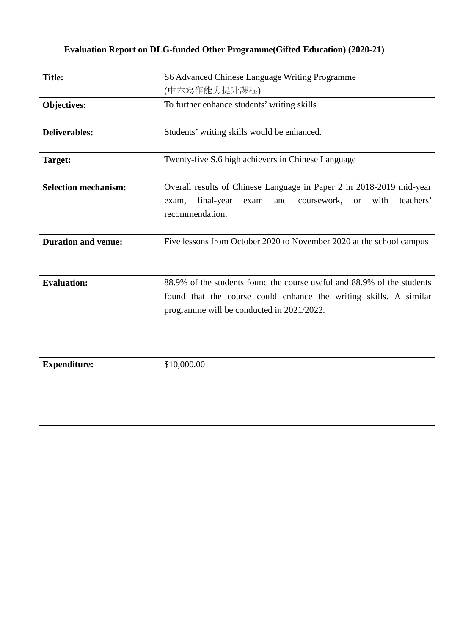# **Evaluation Report on DLG-funded Other Programme(Gifted Education) (2020-21)**

| <b>Title:</b>               | S6 Advanced Chinese Language Writing Programme<br>(中六寫作能力提升課程)                                                                                                                            |
|-----------------------------|-------------------------------------------------------------------------------------------------------------------------------------------------------------------------------------------|
| Objectives:                 | To further enhance students' writing skills                                                                                                                                               |
| <b>Deliverables:</b>        | Students' writing skills would be enhanced.                                                                                                                                               |
| Target:                     | Twenty-five S.6 high achievers in Chinese Language                                                                                                                                        |
| <b>Selection mechanism:</b> | Overall results of Chinese Language in Paper 2 in 2018-2019 mid-year<br>and<br>with<br>teachers'<br>final-year<br>coursework,<br>exam<br><b>or</b><br>exam,<br>recommendation.            |
| <b>Duration and venue:</b>  | Five lessons from October 2020 to November 2020 at the school campus                                                                                                                      |
| <b>Evaluation:</b>          | 88.9% of the students found the course useful and 88.9% of the students<br>found that the course could enhance the writing skills. A similar<br>programme will be conducted in 2021/2022. |
| <b>Expenditure:</b>         | \$10,000.00                                                                                                                                                                               |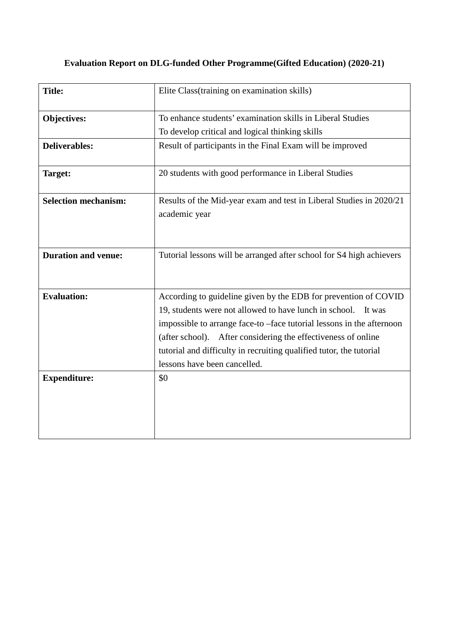|  |  | <b>Evaluation Report on DLG-funded Other Programme (Gifted Education) (2020-21)</b> |  |
|--|--|-------------------------------------------------------------------------------------|--|

| <b>Title:</b>               | Elite Class (training on examination skills)                                                                                                                                                                                                                                                                                                                                         |
|-----------------------------|--------------------------------------------------------------------------------------------------------------------------------------------------------------------------------------------------------------------------------------------------------------------------------------------------------------------------------------------------------------------------------------|
| Objectives:                 | To enhance students' examination skills in Liberal Studies<br>To develop critical and logical thinking skills                                                                                                                                                                                                                                                                        |
| <b>Deliverables:</b>        | Result of participants in the Final Exam will be improved                                                                                                                                                                                                                                                                                                                            |
| Target:                     | 20 students with good performance in Liberal Studies                                                                                                                                                                                                                                                                                                                                 |
| <b>Selection mechanism:</b> | Results of the Mid-year exam and test in Liberal Studies in 2020/21<br>academic year                                                                                                                                                                                                                                                                                                 |
| <b>Duration and venue:</b>  | Tutorial lessons will be arranged after school for S4 high achievers                                                                                                                                                                                                                                                                                                                 |
| <b>Evaluation:</b>          | According to guideline given by the EDB for prevention of COVID<br>19, students were not allowed to have lunch in school.<br>It was<br>impossible to arrange face-to -face tutorial lessons in the afternoon<br>(after school). After considering the effectiveness of online<br>tutorial and difficulty in recruiting qualified tutor, the tutorial<br>lessons have been cancelled. |
| <b>Expenditure:</b>         | \$0                                                                                                                                                                                                                                                                                                                                                                                  |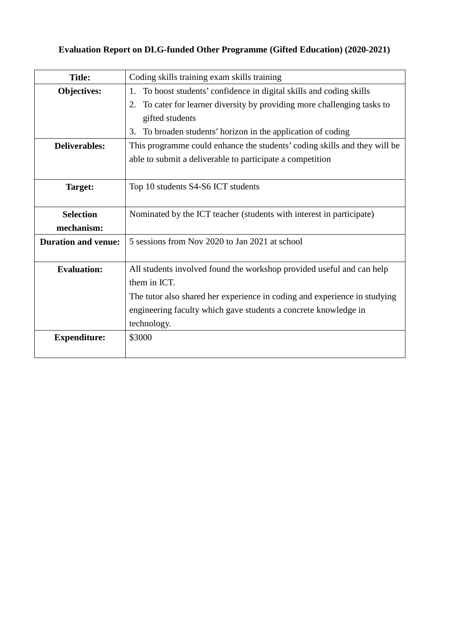# **Evaluation Report on DLG-funded Other Programme (Gifted Education) (2020-2021)**

| <b>Title:</b>              | Coding skills training exam skills training                                 |  |
|----------------------------|-----------------------------------------------------------------------------|--|
| <b>Objectives:</b>         | To boost students' confidence in digital skills and coding skills<br>1.     |  |
|                            | To cater for learner diversity by providing more challenging tasks to<br>2. |  |
|                            | gifted students                                                             |  |
|                            | To broaden students' horizon in the application of coding<br>3.             |  |
| <b>Deliverables:</b>       | This programme could enhance the students' coding skills and they will be   |  |
|                            | able to submit a deliverable to participate a competition                   |  |
|                            |                                                                             |  |
| Target:                    | Top 10 students S4-S6 ICT students                                          |  |
|                            |                                                                             |  |
| <b>Selection</b>           | Nominated by the ICT teacher (students with interest in participate)        |  |
| mechanism:                 |                                                                             |  |
| <b>Duration and venue:</b> | 5 sessions from Nov 2020 to Jan 2021 at school                              |  |
|                            |                                                                             |  |
| <b>Evaluation:</b>         | All students involved found the workshop provided useful and can help       |  |
|                            | them in ICT.                                                                |  |
|                            | The tutor also shared her experience in coding and experience in studying   |  |
|                            | engineering faculty which gave students a concrete knowledge in             |  |
|                            | technology.                                                                 |  |
| <b>Expenditure:</b>        | \$3000                                                                      |  |
|                            |                                                                             |  |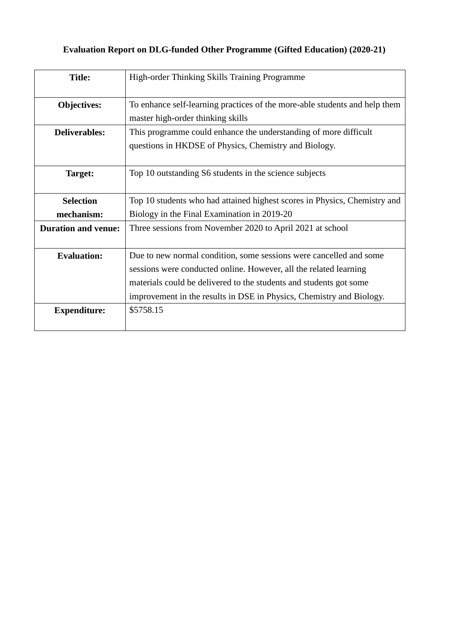# **Evaluation Report on DLG-funded Other Programme (Gifted Education) (2020-21)**

| <b>Title:</b>              | High-order Thinking Skills Training Programme                                                                                                                                                                                                                                         |
|----------------------------|---------------------------------------------------------------------------------------------------------------------------------------------------------------------------------------------------------------------------------------------------------------------------------------|
| <b>Objectives:</b>         | To enhance self-learning practices of the more-able students and help them<br>master high-order thinking skills                                                                                                                                                                       |
| <b>Deliverables:</b>       | This programme could enhance the understanding of more difficult<br>questions in HKDSE of Physics, Chemistry and Biology.                                                                                                                                                             |
| Target:                    | Top 10 outstanding S6 students in the science subjects                                                                                                                                                                                                                                |
| <b>Selection</b>           | Top 10 students who had attained highest scores in Physics, Chemistry and                                                                                                                                                                                                             |
| mechanism:                 | Biology in the Final Examination in 2019-20                                                                                                                                                                                                                                           |
| <b>Duration and venue:</b> | Three sessions from November 2020 to April 2021 at school                                                                                                                                                                                                                             |
| <b>Evaluation:</b>         | Due to new normal condition, some sessions were cancelled and some<br>sessions were conducted online. However, all the related learning<br>materials could be delivered to the students and students got some<br>improvement in the results in DSE in Physics, Chemistry and Biology. |
| <b>Expenditure:</b>        | \$5758.15                                                                                                                                                                                                                                                                             |